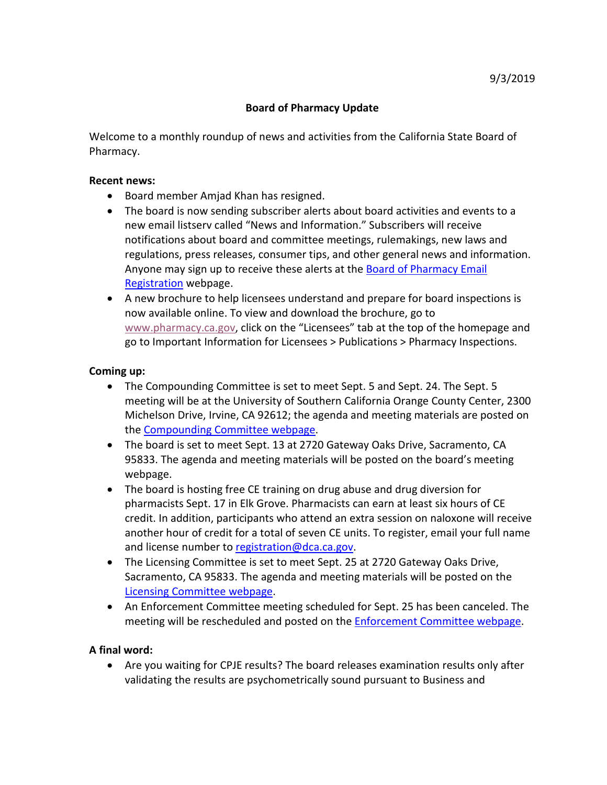## **Board of Pharmacy Update**

 Welcome to a monthly roundup of news and activities from the California State Board of Pharmacy.

## **Recent news:**

- Board member Amjad Khan has resigned.
- • The board is now sending subscriber alerts about board activities and events to a regulations, press releases, consumer tips, and other general news and information. Anyone may sign up to receive these alerts at the **Board of Pharmacy Email** [Registration](https://www.dca.ca.gov/webapps/pharmacy/subscribe.php) webpage. new email listserv called "News and Information." Subscribers will receive notifications about board and committee meetings, rulemakings, new laws and
- • A new brochure to help licensees understand and prepare for board inspections is now available online. To view and download the brochure, go to [www.pharmacy.ca.gov,](http://www.pharmacy.ca.gov/) click on the "Licensees" tab at the top of the homepage and go to Important Information for Licensees > Publications > Pharmacy Inspections.

## **Coming up:**

- Michelson Drive, Irvine, CA 92612; the agenda and meeting materials are posted on • The Compounding Committee is set to meet Sept. 5 and Sept. 24. The Sept. 5 meeting will be at the University of Southern California Orange County Center, 2300 the [Compounding Committee webpage.](https://www.pharmacy.ca.gov/about/meetings_compounding.shtml)
- 95833. The agenda and meeting materials will be posted on the board's meeting • The board is set to meet Sept. 13 at 2720 Gateway Oaks Drive, Sacramento, CA webpage.
- pharmacists Sept. 17 in Elk Grove. Pharmacists can earn at least six hours of CE and license number t[o registration@dca.ca.gov.](mailto:registration@dca.ca.gov) • The board is hosting free CE training on drug abuse and drug diversion for credit. In addition, participants who attend an extra session on naloxone will receive another hour of credit for a total of seven CE units. To register, email your full name
- • The Licensing Committee is set to meet Sept. 25 at 2720 Gateway Oaks Drive, Sacramento, CA 95833. The agenda and meeting materials will be posted on the [Licensing Committee webpage.](https://www.pharmacy.ca.gov/about/meetings_licensing.shtml)
- An Enforcement Committee meeting scheduled for Sept. 25 has been canceled. The meeting will be rescheduled and posted on the **Enforcement Committee webpage**.

## **A final word:**

 • Are you waiting for CPJE results? The board releases examination results only after validating the results are psychometrically sound pursuant to Business and